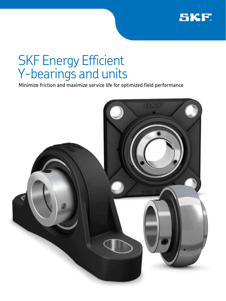

## SKF Energy Efficient Y-bearings and units

Minimize friction and maximize service life for optimized field performance

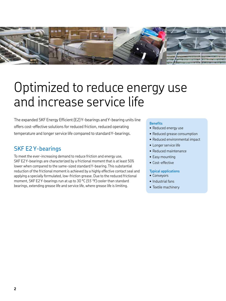

## Optimized to reduce energy use and increase service life

The expanded SKF Energy Efficient (E2) Y-bearings and Y-bearing units line offers cost-effective solutions for reduced friction, reduced operating temperature and longer service life compared to standard Y-bearings.

## SKF E2 Y-bearings

To meet the ever-increasing demand to reduce friction and energy use, SKF E2 Y-bearings are characterized by a frictional moment that is at least 50% lower when compared to the same-sized standard Y-bearing. This substantial reduction of the frictional moment is achieved by a highly effective contact seal and applying a specially formulated, low-friction grease. Due to the reduced frictional moment, SKF E2 Y-bearings run at up to 30 °C *(55 °F)* cooler than standard bearings, extending grease life and service life, where grease life is limiting.

#### **Benefits**

- Reduced energy use
- Reduced grease consumption
- Reduced environmental impact
- Longer service life
- Reduced maintenance
- Easy mounting
- Cost-effective

#### **Typical applications**

- Conveyors
- Industrial fans
- Textile machinery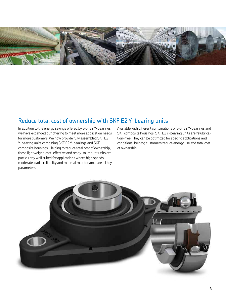

## Reduce total cost of ownership with SKF E2 Y-bearing units

In addition to the energy savings offered by SKF E2 Y-bearings, we have expanded our offering to meet more application needs for more customers. We now provide fully assembled SKF E2 Y-bearing units combining SKF E2 Y-bearings and SKF composite housings. Helping to reduce total cost of ownership, these lightweight, cost-effective and ready-to-mount units are particularly well suited for applications where high speeds, moderate loads, reliability and minimal maintenance are all key parameters.

Available with different combinations of SKF E2 Y-bearings and SKF composite housings, SKF E2 Y-bearing units are relubrication-free. They can be optimized for specific applications and conditions, helping customers reduce energy use and total cost of ownership.

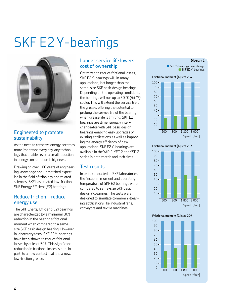## SKF E2 Y-bearings



### Engineered to promote sustainability

As the need to conserve energy becomes more important every day, any technology that enables even a small reduction in energy consumption is big news.

Drawing on over 100 years of engineering knowledge and unmatched expertise in the field of tribology and related sciences, SKF has created low-friction SKF Energy Efficient (E2) bearings.

### Reduce friction – reduce energy use

The SKF Energy Efficient (E2) bearings are characterized by a minimum 30% reduction in the bearing's frictional moment when compared to a samesize SKF basic design bearing. However, in laboratory tests, SKF E2 Y-bearings have been shown to reduce frictional losses by at least 50%. This significant reduction in frictional losses is due, in part, to a new contact seal and a new, low-friction grease.

## Longer service life lowers cost of ownership

Optimized to reduce frictional losses, SKF E2 Y-bearings will, in many applications, last longer than the same-size SKF basic design bearings. Depending on the operating conditions, the bearings will run up to 30 °C *(55 °F)* cooler. This will extend the service life of the grease, offering the potential to prolong the service life of the bearing when grease life is limiting. SKF E2 bearings are dimensionally interchangeable with SKF basic design bearings enabling easy upgrades of existing applications as well as improving the energy efficiency of new applications. SKF E2 Y-bearings are available in the YAR 2, YET 2 and YSP 2 series in both metric and inch sizes.

### Test results

In tests conducted at SKF laboratories, the frictional moment and operating temperature of SKF E2 bearings were compared to same-size SKF basic design Y-bearings. The tests were designed to simulate common Y-bearing applications like industrial fans, conveyors and textile machines.

#### **Diagram 1**

 $\blacksquare$  SKF Y-bearings basic design SKF E2 Y-bearings

#### **Frictional moment [%] size 204**



#### **Frictional moment [%] size 207**



#### **Frictional moment [%] size 209**

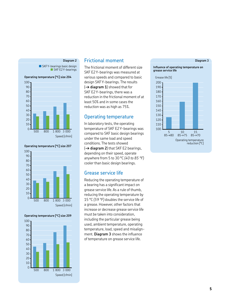#### **Diagram 2**

 $\blacksquare$  SKF Y-bearings basic design SKF E2 Y-bearings





#### **Operating temperature [°C] size 209**



#### Frictional moment

The frictional moment of different size SKF E2 Y-bearings was measured at various speeds and compared to basic design SKF Y-bearings. The results (**→ diagram 1**) showed that for SKF E2 Y-bearings, there was a reduction in the frictional moment of at least 50% and in some cases the reduction was as high as 75%.

#### Operating temperature

In laboratory tests, the operating temperature of SKF E2 Y-bearings was compared to SKF basic design bearings under the same load and speed conditions. The tests showed (**→ diagram 2**) that SKF E2 bearings, depending on their speed, operate anywhere from 5 to 30 °C *(40 to 85 °F)* cooler than basic design bearings.

#### Grease service life

Reducing the operating temperature of a bearing has a significant impact on grease service life. As a rule of thumb, reducing the operating temperature by 15 °C *(59 °F)* doubles the service life of a grease. However, other factors that increase or decrease grease service life must be taken into consideration, including the particular grease being used, ambient temperature, operating temperature, load, speed and misalignment. **Diagram 3** shows the influence of temperature on grease service life.

#### **Diagram 3**



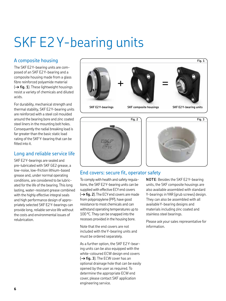# SKF E2 Y-bearing units

## A composite housing

The SKF E2 Y-bearing units are composed of an SKF E2 Y-bearing and a composite housing made from a glass fibre reinforced polyamide material (**→ fig. 1**). These lightweight housings resist a variety of chemicals and diluted acids.

For durability, mechanical strength and thermal stability, SKF E2 Y-bearing units are reinforced with a steel coil moulded around the bearing bore and zinc coated steel liners in the mounting bolt holes. Consequently the radial breaking load is far greater than the basic static load rating of the SKF Y-bearing that can be fitted into it.

## Long and reliable service life

SKF E2 Y-bearings are sealed and pre-lubricated with SKF GE2 grease, a low-noise, low-friction lithium-based grease and, under normal operating conditions, are considered to be lubricated for the life of the bearing. This long lasting, water-resistant grease combined with the highly effective integral seals and high performance design of appropriately selected SKF E2 Y-bearings can provide long, reliable service life without the costs and environmental issues of relubrication.







## End covers: secure fit, operator safety

To comply with health and safety regulations, the SKF E2 Y-bearing units can be supplied with effective ECY end covers (**→ fig. 2**). The ECY end covers are made from polypropylene (PP), have good resistance to most chemicals and can withstand operating temperatures up to 100 °C. They can be snapped into the recesses provided in the housing bore.

Note that the end covers are not included with the Y-bearing units and must be ordered separately.

As a further option, the SKF E2 Y-bearing units can be also equipped with the white-coloured ECW design end covers (**→ fig. 3**). The ECW cover has an optional drainage hole that can be easily opened by the user as required. To determine the appropriate ECW end cover, please contact SKF application engineering service.

**NOTE**: Besides the SKF E2 Y-bearing units, the SKF composite housings are also available assembled with standard Y-bearings in YAR (grub screws) design. They can also be assembled with all available Y-bearing designs and materials including zinc coated and stainless steel bearings.

Please ask your sales representative for information.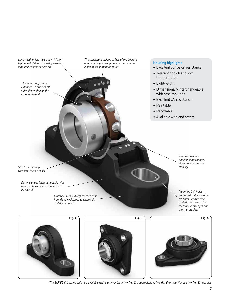*Long-lasting, low-noise, low-friction high quality lithium-based grease for long and reliable service life* 

*The spherical outside surface of the bearing and matching housing bore accommodate initial misalignment up to 5°*

*The inner ring, can be extended on one or both sides depending on the locking method*

#### **Housing highlights**

- Excellent corrosion resistance
- Tolerant of high and low temperatures
- Lightweight
- Dimensionally interchangeable with cast iron units
- Excellent UV resistance
- Paintable
- Recyclable
- Available with end covers

*SKF E2 Y-bearing with low-friction seals*

> *Dimensionally interchangeable with cast iron housings that conform to ISO 3228*

> > *Material up to 75% lighter than cast iron. Good resistance to chemicals and diluted acids*

*The coil provides additional mechanical strength and thermal stability*

*Mounting bolt holes reinforced with corrosion resistant Cr6 free zinc coated steel inserts for mechanical strength and thermal stability*







*The SKF E2 Y-bearing units are available with plummer block (→ fig. 4), square flanged (→ fig. 5) or oval flanged (→ fig. 6) housings*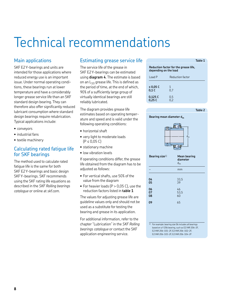# Technical recommendations

## Main applications

SKF E2 Y-bearings and units are intended for those applications where reduced energy use is an important issue. Under normal operating conditions, these bearings run at lower temperature and have a considerably longer grease service life than an SKF standard design bearing. They can therefore also offer significantly reduced lubricant consumption where standard design bearings require relubrication. Typical applications include:

- conveyors
- industrial fans
- textile machinery

### Calculating rated fatigue life for SKF bearings

The method used to calculate rated fatigue life is the same for both SKF E2 Y-bearings and basic design SKF Y-bearings. SKF recommends using the SKF rating life equations as described in the *SKF Rolling bearings catalogue* or online at *skf.com*.

## Estimating grease service life

The service life of the grease in SKF E2 Y-bearings can be estimated using **diagram 4**. The estimate is based on an  $L_{10}$  grease life. This is defined as the period of time, at the end of which, 90% of a sufficiently large group of virtually identical bearings are still reliably lubricated.

The diagram provides grease life estimates based on operating temperature and speed and is valid under the following operating conditions:

- horizontal shaft
- very light to moderate loads  $(P \le 0.05 C)$
- stationary machine
- low vibration levels

If operating conditions differ, the grease life obtained from the diagram has to be adjusted as follows:

- For vertical shafts, use 50% of the value from the diagram
- For heavier loads (P > 0,05 C), use the reduction factors listed in **table 1**

The values for adjusting grease life are guideline values only and should not be used as a substitute for testing the bearing and grease in its application.

For additional information, refer to the chapter "Lubrication" in the *SKF Rolling bearings catalogue* or contact the SKF application engineering service.

|                       | Table 1                               |
|-----------------------|---------------------------------------|
| depending on the load | Reduction factor for the grease life, |
| Load P                | Reduction factor                      |
|                       |                                       |

| ≤ 0,05 C<br>0,1C  | 0.7        |  |
|-------------------|------------|--|
| 0,125 C<br>0,25 C | 0,5<br>0.2 |  |



**Table 2**



| Bearing size $1$ ) | <b>Mean bearing</b><br>diameter<br>$d_m$ |
|--------------------|------------------------------------------|
|                    | mm                                       |
| 04<br>05           | 33,5<br>39                               |
| 06<br>07<br>08     | 46<br>53,5<br>60                         |
| 09                 | 65                                       |
|                    |                                          |

1) For example: bearing size 06 includes all bearings based on a Y 206 bearing, such as E2.YAR 206-2F, E2.YAR 206-101-2F, E2.YAR 206-102-2F, E2.YAR 206-103-2F, E2.YAR 206-104-2F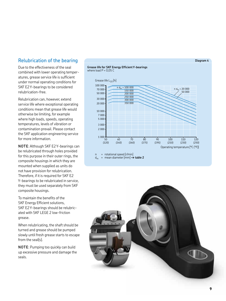## Relubrication of the bearing

Due to the effectiveness of the seal combined with lower operating temperatures, grease service life is sufficient under normal operating conditions for SKF E2 Y-bearings to be considered relubrication-free.

Relubrication can, however, extend service life where exceptional operating conditions mean that grease life would otherwise be limiting, for example where high loads, speeds, operating temperatures, levels of vibration or contamination prevail. Please contact the SKF application engineering service for more information.

**NOTE**: Although SKF E2 Y-bearings can be relubricated through holes provided for this purpose in their outer rings, the composite housings in which they are mounted when supplied as units do not have provision for relubrication. Therefore, if it is required for SKF E2 Y-bearings to be relubricated in service, they must be used separately from SKF composite housings.

To maintain the benefits of the SKF Energy Efficient solutions, SKF E2 Y-bearings should be relubricated with SKF LEGE 2 low-friction grease.

When relubricating, the shaft should be turned and grease should be pumped slowly until fresh grease starts to escape from the seal(s).

**NOTE**: Pumping too quickly can build up excessive pressure and damage the seals.

#### **Grease life for SKF Energy Efficient Y-bearings** where load  $P = 0.05 C$



 $n =$  rotational speed  $[r/min]$ <br>d<sub>m</sub> = mean diameter  $[mm]$   $\rightarrow$ 



#### **Diagram 4**

mean diameter [mm] **→ table 2**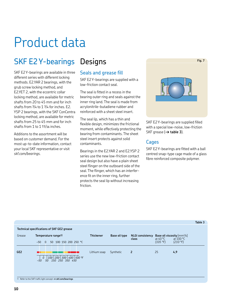## Product data

## SKF E2 Y-bearings Designs

SKF E2 Y-bearings are available in three different series with different locking methods. E2.YAR 2 bearings, with the grub screw locking method, and E2.YET 2, with the eccentric collar locking method, are available for metric shafts from 20 to 45 mm and for inch shafts from 3/4 to 1 3/4 for inches. E2. YSP 2 bearings, with the SKF ConCentra locking method, are available for metric shafts from 25 to 45 mm and for inch shafts from 1 to 1 11/16 inches.

Additions to the assortment will be based on customer demand. For the most up-to-date information, contact your local SKF representative or visit *skf.com/bearings*.

## Seals and grease fill

SKF E2 Y-bearings are supplied with a low-friction contact seal.

The seal is fitted in a recess in the bearing outer ring and seals against the inner ring land. The seal is made from acrylonitrile-butadiene rubber and reinforced with a sheet steel insert.

The seal lip, which has a thin and flexible design, minimizes the frictional moment, while effectively protecting the bearing from contaminants. The sheet steel insert protects against solid contaminants.

Bearings in the E2.YAR 2 and E2.YSP 2 series use the new low-friction contact seal design but also have a plain sheet steel flinger on the outboard side of the seal. The flinger, which has an interference fit on the inner ring, further protects the seal lip without increasing friction.



SKF E2 Y-bearings are supplied filled with a special low-noise, low-friction SKF grease (**→ table 3**).

## **Cages**

SKF E2 Y-bearings are fitted with a ball centred snap-type cage made of a glass fibre reinforced composite polymer.

|                                                   |                                                                                     |                  |               |                                  |                                                                                  |                         | Table 3 |  |  |  |  |
|---------------------------------------------------|-------------------------------------------------------------------------------------|------------------|---------------|----------------------------------|----------------------------------------------------------------------------------|-------------------------|---------|--|--|--|--|
| <b>Technical specifications of SKF GE2 grease</b> |                                                                                     |                  |               |                                  |                                                                                  |                         |         |  |  |  |  |
| Grease                                            | Temperature range <sup>1)</sup><br>50 100 150 200 250 °C<br>$-50$<br>$\overline{0}$ | <b>Thickener</b> | Base oil type | <b>NLGI consistency</b><br>class | <b>Base oil viscosity</b> [mm <sup>2</sup> /s]<br>at 40 $^{\circ}$ C<br>(105 °F) | at $100 °C$<br>(210 °F) |         |  |  |  |  |
| GE <sub>2</sub>                                   | $100   200   300   400   500$ °F<br>$\theta$<br>150 250 350 450<br>50<br>$-50$      | Lithium soap     | Synthetic     | $\overline{2}$                   | 25                                                                               | 4,9                     |         |  |  |  |  |
|                                                   | 1) Refer to the SKF traffic light concept $\rightarrow$ skf.com/bearings            |                  |               |                                  |                                                                                  |                         |         |  |  |  |  |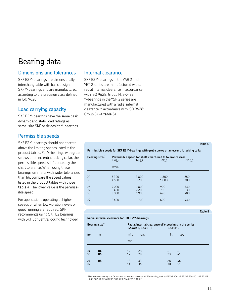## Bearing data

## Dimensions and tolerances

SKF E2 Y-bearings are dimensionally interchangeable with basic design SKF Y-bearings and are manufactured according to the precision class defined in ISO 9628.

## Load carrying capacity

SKF E2 Y-bearings have the same basic dynamic and static load ratings as same-size SKF basic design Y-bearings.

## Permissible speeds

SKF E2 Y-bearings should not operate above the limiting speeds listed in the product tables. For Y-bearings with grub screws or an eccentric locking collar, the permissible speed is influenced by the shaft tolerance. When using these bearings on shafts with wider tolerances than h6, compare the speed values listed in the product tables with those in **table 4**. The lower value is the permissible speed.

For applications operating at higher speeds or when low vibration levels or quiet running are required, SKF recommends using SKF E2 bearings with SKF ConCentra locking technology.

#### Internal clearance

SKF E2 Y-bearings in the YAR 2 and YET 2 series are manufactured with a radial internal clearance in accordance with ISO 9628: Group N. SKF E2 Y-bearings in the YSP 2 series are manufactured with a radial internal clearance in accordance with ISO 9628: Group 3 (**→ table 5**).

#### **Table 4**

**Table 5**

**Permissible speeds for SKF E2 Y-bearings with grub screws or an eccentric locking collar**

| Bearing size $1$           | h7D                                     | h8 <sup>②</sup>                            | Permissible speed for shafts machined to tolerance class<br>h9 <sup>②</sup> | h11(E)                          |
|----------------------------|-----------------------------------------|--------------------------------------------|-----------------------------------------------------------------------------|---------------------------------|
|                            | r/min                                   |                                            |                                                                             |                                 |
| 04<br>05<br>06<br>07<br>08 | 5 3 0 0<br>4500<br>4000<br>3400<br>3000 | 3800<br>3 2 0 0<br>2800<br>2 2 0 0<br>1900 | 1300<br>1000<br>900<br>750<br>670                                           | 850<br>700<br>630<br>530<br>480 |
| 09                         | 2600                                    | 1700                                       | 600                                                                         | 430                             |

#### **Radial internal clearance for SKF E2 Y-bearings**

| Bearing size $1$ )   |                |                      | <b>E2.YAR 2, E2.YET 2</b> |                | Radial internal clearance of Y-bearings in the series<br><b>E2.YSP 2</b> |  |  |
|----------------------|----------------|----------------------|---------------------------|----------------|--------------------------------------------------------------------------|--|--|
| from                 | to             | min.                 | max.                      | min.           | max.                                                                     |  |  |
|                      |                | mm                   |                           |                |                                                                          |  |  |
| 04<br>05<br>07<br>09 | 04<br>06<br>08 | 12<br>12<br>13<br>14 | 28<br>28<br>33<br>36      | 23<br>28<br>30 | 41<br>46<br>51                                                           |  |  |

1) For example: bearing size 06 includes all bearings based on a Y 206 bearing, such as E2.YAR 206-2F, E2.YAR 206-101-2F, E2.YAR<br>206-102-2F, E2.YAR 206-103-2F, E2.YAR 206-104-2F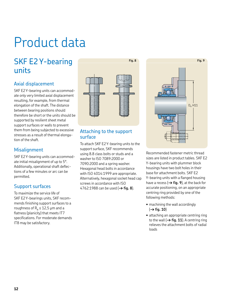## Product data

## SKF E2 Y-bearing units

## Axial displacement

SKF E2 Y-bearing units can accommodate only very limited axial displacement resulting, for example, from thermal elongation of the shaft. The distance between bearing positions should therefore be short or the units should be supported by resilient sheet metal support surfaces or walls to prevent them from being subjected to excessive stresses as a result of thermal elongation of the shaft.

## **Misalignment**

SKF E2 Y-bearing units can accommodate initial misalignment of up to 5°. Additionally, operational shaft deflections of a few minutes or arc can be permitted.

## Support surfaces

To maximize the service life of SKF E2 Y-bearings units, SKF recommends finishing support surfaces to a roughness of  $R_a \le 12.5$  µm and a flatness (planicity) that meets IT7 specifications. For moderate demands IT8 may be satisfactory.



**Fig. 8**

### Attaching to the support surface

To attach SKF E2 Y-bearing units to the support surface, SKF recommends using 8.8 class bolts or studs and a washer to ISO 7089:2000 or 7090:2000 and a spring washer. Hexagonal head bolts in accordance with ISO 4014:1999 are appropriate. Alternatively, hexagonal socket head cap screws in accordance with ISO 4762:1988 can be used (**→ fig. 8**).



Recommended fastener metric thread sizes are listed in product tables. SKF E2 Y-bearing units with plummer block housings have two bolt holes in their base for attachment bolts. SKF E2 Y-bearing units with a flanged housing have a recess (**→ fig. 9**), at the back for accurate positioning, on an appropriate centring ring provided by one of the following methods:

- machining the wall accordingly (**→ fig. 10**)
- attaching an appropriate centring ring to the wall (**→ fig. 11**). A centring ring relieves the attachment bolts of radial loads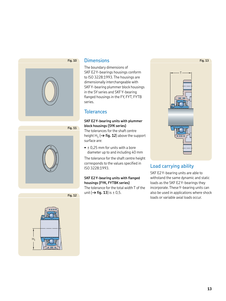

### **Dimensions**

**Fig. 10**

**Fig. 11**

The boundary dimensions of SKF E2 Y-bearings housings conform to ISO 3228:1993. The housings are dimensionally interchangeable with SKF Y-bearing plummer block housings in the SY series and SKF Y-bearing flanged housings in the FY, FYT, FYTB series.

## **Tolerances**

**SKF E2 Y-bearing units with plummer block housings (SYK series)**

The tolerances for the shaft centre height  $\textsf{H}_1$  ( $\rightarrow$  **fig. 12**) above the support surface are:

**•** ± 0,25 mm for units with a bore diameter up to and including 40 mm

The tolerance for the shaft centre height corresponds to the values specified in ISO 3228:1993.

#### **SKF E2 Y-bearing units with flanged housings (FYK, FYTBK series)** The tolerance for the total width T of the

unit  $(\rightarrow$  **fig. 13**) is  $\pm$  0,5.



## Load carrying ability

SKF E2 Y-bearing units are able to withstand the same dynamic and static loads as the SKF E2 Y-bearings they incorporate. These Y-bearing units can also be used in applications where shock loads or variable axial loads occur.

**Fig. 13**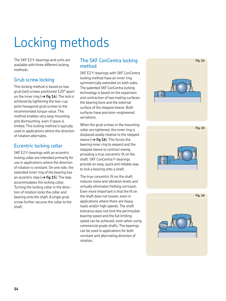# Locking methods

The SKF E2 Y-bearings and units are available with three different locking methods.

## Grub screw locking

This locking method is based on two grub (set) screws positioned 120° apart on the inner ring (**→ fig 14**). The lock is achieved by tightening the two-cup point hexagonal grub screws to the recommended torque value. This method enables very easy mounting and dismounting, even if space is limited. This locking method is typically used in applications where the direction of rotation alternates.

## Eccentric locking collar

SKF E2 Y-bearings with an eccentric locking collar are intended primarily for use in applications where the direction of rotation is constant. On one side, the extended inner ring of the bearing has an eccentric step (**→ fig 15**). The step accommodates the locking collar. Turning the locking collar in the direction of rotation locks the collar and bearing onto the shaft. A single grub screw further secures the collar to the shaft.

## The SKF ConCentra locking method

SKF E2 Y-bearings with SKF ConCentra locking method have an inner ring symmetrically extended on both sides. The patented SKF ConCentra locking technology is based on the expansion and contraction of two mating surfaces: the bearing bore and the external surface of the stepped sleeve. Both surfaces have precision-engineered serrations.

When the grub screws in the mounting collar are tightened, the inner ring is displaced axially relative to the stepped sleeve (**→ fig 16**). This forces the bearing inner ring to expand and the stepped sleeve to contract evenly, providing a true concentric fit on the shaft. SKF ConCentra Y-bearings provide an easy, quick and reliable way to lock a bearing onto a shaft.

The true concentric fit on the shaft reduces noise and vibration levels and virtually eliminates fretting corrosion. Even more important is that the fit on the shaft does not loosen, even in applications where there are heavy loads and/or high speeds. The shaft tolerance does not limit the permissible bearing speed and the full limiting speed can be achieved, even when using commercial grade shafts. The bearings can be used in applications for both constant and alternating direction of rotation.

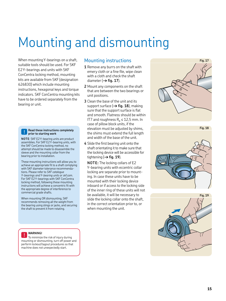# Mounting and dismounting

When mounting Y-bearings on a shaft, suitable tools should be used. For SKF E2 Y-bearings and units with SKF ConCentra locking method, mounting kits are available from SKF (designation 626830) which include mounting instructions, hexagonal keys and torque indicators. SKF ConCentra mounting kits have to be ordered separately from the bearing or unit.

#### **! Read these instructions completely prior to starting work**

**NOTE**: SKF E2 Y-bearing units are product assemblies. For SKF E2 Y-bearing units, with the SKF ConCentra locking method, no attempt should be made to disassemble the sleeve and the mounting collar from the bearing prior to installation.

These mounting instructions will allow you to achieve an appropriate fit to a shaft complying with SKF diameter tolerance recommendations. Please refer to *SKF catalogue Y-bearings and Y-bearing units* or *skf.com*. For SKF E2 Y-bearings with SKF ConCentra locking method, following these mounting instructions will achieve a concentric fit with the appropriate degree of interference to commercial grade shafts.

When mounting OR dismounting, SKF recommends removing all the weight from the bearing using slings or jacks, and securing the shaft to prevent it from rotating.

#### **WARNING!**

**!** To minimize the risk of injury during mounting or dismounting, turn off power and perform lockout/tagout procedures so that machine does not unexpectedly start.

### Mounting instructions

- **1** Remove any burrs on the shaft with emery cloth or a fine file, wipe clean with a cloth and check the shaft diameter ( $\rightarrow$  fig. 17).
- **2** Mount any components on the shaft that are between the two bearings or unit positions.
- **3** Clean the base of the unit and its support surface (→ **fig. 18**), making sure that the support surface is flat and smooth. Flatness should be within IT7 and roughness  $R_a \le 12.5$  mm. In case of pillow block units, if the elevation must be adjusted by shims, the shims must extend the full length and width of the base of the unit.
- **4** Slide the first bearing unit onto the shaft orientating it to make sure that the locking device will be accessible for tightening (**→ fig. 19**).

**NOTE:** The locking collars of E2 Y-bearing units with eccentric collar locking are separate prior to mounting. In case these units have to be mounted with their locking device inboard or if access to the locking side of the inner ring of these units will not be available, it will be necessary to slide the locking collar onto the shaft, in the correct orientation prior to, or when mounting the unit.





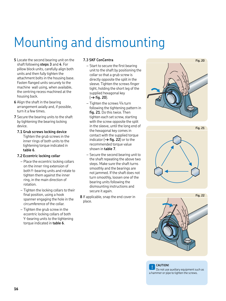## Mounting and dismounting

- **5** Locate the second bearing unit on the shaft following **steps 3** and **4**. For pillow block units, carefully align both units and then fully tighten the attachment bolts in the housing base. Fasten flanged units securely to the machine wall using, when available, the centring recess machined at the housing back.
- **6** Align the shaft in the bearing arrangement axially and, if possible, turn it a few times.
- **7** Secure the bearing units to the shaft by tightening the bearing locking device.
	- **7.1 Grub screws locking device** Tighten the grub screws in the inner rings of both units to the tightening torque indicated in **table 6**.

#### **7.2 Eccentric locking collar**

- Place the eccentric locking collars on the inner ring extension of both Y-bearing units and rotate to tighten them against the inner ring, in the main direction of rotation.
- Tighten the locking collars to their final position, using a hook spanner engaging the hole in the circumference of the collar.
- Tighten the grub screw in the eccentric locking collars of both Y-bearing units to the tightening torque indicated in **table 6**.

#### **7.3 SKF ConCentra**

- Start to secure the first bearing unit to the shaft by positioning the collar so that a grub screw is directly opposite the split in the sleeve. Tighten the screws finger tight, holding the short leg of the supplied hexagonal key (**→ fig. 20**).
- Tighten the screws 1/4 turn following the tightening pattern in **fig. 21**. Do this twice. Then tighten each set screw, starting with the screw opposite the split in the sleeve, until the long end of the hexagonal key comes in contact with the supplied torque indicator  $(\rightarrow$  fig. 22) or to the recommended torque value shown in **table 7**.
- Secure the second bearing unit to the shaft repeating the above two steps. Make sure the shaft turns smoothly and the bearings are not jammed. If the shaft does not turn smoothly, loosen one of the bearing units following the dismounting instructions and secure it again.
- **8** If applicable, snap the end cover in place.







**CAUTION!**

**!** Do not use auxiliary equipment such as a hammer or pipe to tighten the screws.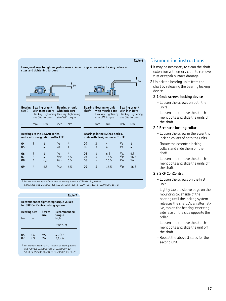#### **Table 6**

**Bearing or unit with inch bore**

size SW torque

Hex key Tightening Hex key Tightening

**Hexagonal keys to tighten grub screws in inner rings or eccentric locking collars – sizes and tightening torques**

# SW

**Bearing Bearing or unit size**1) **with metric bore Bearing or unit with inch bore** Hex key Tightening Hex key Tightening size SW torque size SW torque **Bearing Bearing or unit size**1)

**Bearings in the E2.YAR series, units with designation suffix TEF**

– mm Nm inch Nm

| 04 | 3              | 4   | 1/g  | 4   | 04 | 3              | 4    | 1/g  | 4    |
|----|----------------|-----|------|-----|----|----------------|------|------|------|
| 05 | 3              | 4   | 1/g  | 4   | 05 |                | 4    | 1/g  | 4    |
| 06 | 3              | 4   | 1/g  | 4   | 06 | $\overline{4}$ | 6,5  | 5/32 | 6,5  |
| 07 | 3              | 4   | 5/32 | 6.5 | 07 | 5              | 16,5 | 3/16 | 16,5 |
| 08 | 4              | 6,5 | 5/32 | 6,5 | 08 | 5              | 16,5 | 3/16 | 16,5 |
| 09 | $\overline{4}$ | 6,5 | 5/32 | 6,5 | 09 | 5              | 16,5 | 3/16 | 16,5 |

 $1)$  For example: bearing size 06 includes all bearings based on a Y 206 bearing, such as:

E2.YAR 206-101-2F, E2.YAR 206-102-2F, E2.YAR 206-2F, E2.YAR 206-103-2F, E2.YAR 206-104-2F

#### **Table 7**

**Recommended tightening torque values for SKF ConCentra locking system**

|          | Bearing size 1) | <b>Screw</b><br>size             | Recommended<br>torque |  |  |  |
|----------|-----------------|----------------------------------|-----------------------|--|--|--|
| from     | to              |                                  | high                  |  |  |  |
|          |                 |                                  | Nm/in.lbf             |  |  |  |
| 05<br>07 | 06<br>09        | M <sub>5</sub><br>M <sub>6</sub> | 4,2/37<br>7,4/66      |  |  |  |

1) For example: bearing size 07 includes all bearings based on a Y 207 e.g. E2. YSP 207 SB-2F, E2. YSP 207-104 SB-2F, E2. YSP 207-106 SB-2F, E2. YSP 207-107 SB-2F

## Dismounting instructions **1** It may be necessary to clean the shaft

- extension with emery cloth to remove rust or repair surface damage.
- **2** Unlock the bearing units from the shaft by releasing the bearing locking device.

#### **2.1 Grub screws locking device**

- Loosen the screws on both the units.
- Loosen and remove the attachment bolts and slide the units off the shaft.

#### **2.2 Eccentric locking collar**

- Loosen the screw in the eccentric locking collars of both the units.
- Rotate the eccentric locking collars and slide them off the shaft.
- Loosen and remove the attachment bolts and slide the units off the shaft.

#### **2.3 SKF ConCentra**

- Loosen the screws on the first unit.
- Lightly tap the sleeve edge on the mounting collar side of the bearing until the locking system releases the shaft. As an alternative, tap on the bearing inner ring side face on the side opposite the collar.
- Loosen and remove the attachment bolts and slide the unit off the shaft.
- Repeat the above 3 steps for the second unit.

SW

**with metric bore**

– mm Nm inch Nm

size SW torque

**Bearings in the E2.YET series, units with designation suffix FE**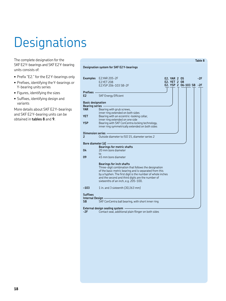# Designations

The complete designation for the SKF E2 Y-bearings and SKF E2 Y-bearing units consists of:

- Prefix "E2." for the E2 Y-bearings only
- Prefixes, identifying the Y-bearings or Y-bearing units series
- Figures, identifying the sizes
- Suffixes, identifying design and variants

More details about SKF E2 Y-bearings and SKF E2 Y-bearing units can be obtained in **tables 8** and **9**.

|                                 | <b>Designation system for SKF E2 Y-bearings</b>                                                                                                                                                                                                                                                              |
|---------------------------------|--------------------------------------------------------------------------------------------------------------------------------------------------------------------------------------------------------------------------------------------------------------------------------------------------------------|
|                                 | <b>Examples</b> E2.YAR 205-2F<br>$-2F$<br>E2. YAR 2 05<br>E2. YET 2 08<br><b>E2.YET 208</b><br>E2. YSP 2 06-103 SB -2F<br>E2.YSP 206-103 SB-2F                                                                                                                                                               |
| Prefixes -<br>E <sub>2</sub>    | <b>SKF Energy Efficient</b>                                                                                                                                                                                                                                                                                  |
| <b>Basic designation</b>        |                                                                                                                                                                                                                                                                                                              |
| <b>Bearing series</b> -<br>YAR. | Bearing with grub screws,<br>inner ring extended on both sides                                                                                                                                                                                                                                               |
| <b>YET</b>                      | Bearing with an eccentric-looking collar,<br>inner ring extended on one side                                                                                                                                                                                                                                 |
| <b>YSP</b>                      | Bearing with SKF ConCentra locking technology,<br>inner ring symmetrically extended on both sides                                                                                                                                                                                                            |
| Dimension series -<br>2         | Outside diameter to ISO 15, diameter series 2                                                                                                                                                                                                                                                                |
| Bore diameter (d) -             |                                                                                                                                                                                                                                                                                                              |
| 04                              | <b>Bearings for metric shafts</b><br>20 mm bore diameter                                                                                                                                                                                                                                                     |
| 09                              | to<br>45 mm bore diameter                                                                                                                                                                                                                                                                                    |
|                                 | <b>Bearings for inch shafts</b><br>Three-digit combination that follows the designation<br>of the basic metric bearing and is separated from this<br>by a hyphen. The first digit is the number of whole inches<br>and the second and third digits are the number of<br>sixteenths of an inch, e.g. 205-100. |
| $-103$                          | 1 in. and 3 sixteenth (30,163 mm)                                                                                                                                                                                                                                                                            |
| <b>Suffixes</b>                 |                                                                                                                                                                                                                                                                                                              |
| Internal Design -<br><b>SB</b>  | SKF ConCentra ball bearing, with short inner ring                                                                                                                                                                                                                                                            |
|                                 | External design sealing system                                                                                                                                                                                                                                                                               |

**Table 8**

**-2F** Contact seal, additional plain flinger on both sides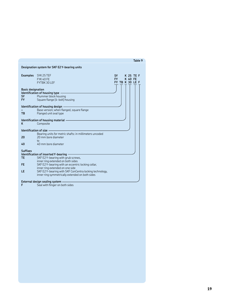|                                              | Designation system for SKF E2Y-bearing units                                                                                                                        |                                                                       |
|----------------------------------------------|---------------------------------------------------------------------------------------------------------------------------------------------------------------------|-----------------------------------------------------------------------|
| <b>Examples</b>                              | SYK 25 TEF<br><b>FYK 40 FE</b><br>FYTBK 30 LEF                                                                                                                      | SY -<br>K 25 TE F<br>FY F<br><b>K 40 FE</b><br><b>FY TB K 30 LE F</b> |
| <b>Basic designation</b><br><b>SY</b><br>FY. | Identification of housing type -<br>Plummer block housing<br>Square flange (4-bolt) housing                                                                         |                                                                       |
| <b>TB</b>                                    | ldentification of housing design -<br>Base version; when flanged, square flange<br>Flanged unit oval type                                                           |                                                                       |
| κ                                            | Identification of housing material<br>Composite                                                                                                                     |                                                                       |
| Identification of size -<br>20<br>40         | Bearing units for metric shafts: in millimeters uncoded<br>20 mm bore diameter<br>to<br>40 mm hore diameter                                                         |                                                                       |
| <b>Suffixes</b><br><b>TE</b><br>FE.          | Identification of inserted Y-bearing<br>SKF E2Y-bearing with grub screws,<br>inner ring extended on both sides<br>SKF E2Y-bearing with an eccentric locking collar, |                                                                       |
| LE                                           | inner ring extended on one side<br>SKF E2Y-bearing with SKF ConCentra locking technology,<br>inner ring symmetrically extended on both sides                        |                                                                       |
|                                              | External design sealing system                                                                                                                                      |                                                                       |

**Table 9**

**F** Seal with flinger on both sides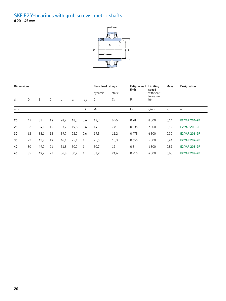#### SKF E2 Y-bearings with grub screws, metric shafts **d 20 – 45 mm**



| <b>Dimensions</b> |    |      |    |       |       |              | <b>Basic load ratings</b> |        | <b>Fatique load</b><br>limit | Limiting                         | Mass | <b>Designation</b>   |
|-------------------|----|------|----|-------|-------|--------------|---------------------------|--------|------------------------------|----------------------------------|------|----------------------|
|                   |    |      |    |       |       |              | dynamic                   | static |                              | speed<br>with shaft<br>tolerance |      |                      |
| d                 | D  | B    | С  | $d_1$ | $S_1$ | $r_{1,2}$    | C                         | $C_0$  | $P_{u}$                      | h6                               |      |                      |
| mm                |    |      |    |       |       | min          | kN                        |        | kN                           | r/min                            | kg   | $\qquad \qquad -$    |
|                   |    |      |    |       |       |              |                           |        |                              |                                  |      |                      |
| 20                | 47 | 31   | 14 | 28,2  | 18,3  | 0,6          | 12,7                      | 6,55   | 0,28                         | 8500                             | 0,14 | <b>E2.YAR 204-2F</b> |
| 25                | 52 | 34,1 | 15 | 33,7  | 19,8  | 0,6          | 14                        | 7,8    | 0,335                        | 7000                             | 0,19 | <b>E2.YAR 205-2F</b> |
| 30                | 62 | 38,1 | 18 | 39,7  | 22,2  | 0,6          | 19,5                      | 11,2   | 0,475                        | 6 3 0 0                          | 0,30 | <b>E2.YAR 206-2F</b> |
| 35                | 72 | 42,9 | 19 | 46,1  | 25,4  | $\mathbf{1}$ | 25,5                      | 15,3   | 0,655                        | 5 3 0 0                          | 0,44 | <b>E2.YAR 207-2F</b> |
| 40                | 80 | 49,2 | 21 | 51,8  | 30,2  | $\mathbf{1}$ | 30,7                      | 19     | 0,8                          | 4800                             | 0,59 | <b>E2.YAR 208-2F</b> |
| 45                | 85 | 49,2 | 22 | 56,8  | 30,2  | 1            | 33,2                      | 21,6   | 0.915                        | 4300                             | 0,65 | <b>E2.YAR 209-2F</b> |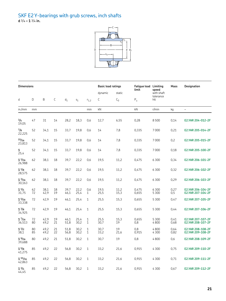#### SKF E2 Y-bearings with grub screws, inch shafts **d** 3/4 **– 1** 3/4 **in.**



| <b>Dimensions</b>            |          |              |          |              |                |                     | <b>Basic load ratings</b> |              | <b>Fatique load Limiting</b><br>limit | speed                   | Mass         | <b>Designation</b>                     |
|------------------------------|----------|--------------|----------|--------------|----------------|---------------------|---------------------------|--------------|---------------------------------------|-------------------------|--------------|----------------------------------------|
|                              |          |              |          |              |                |                     | dynamic                   | static       |                                       | with shaft<br>tolerance |              |                                        |
| d                            | D        | B            | С        | $d_1$        | S <sub>1</sub> | $r_{1,2}$           | С                         | $C_0$        | $P_{u}$                               | h6                      |              |                                        |
| in./mm                       | mm       |              |          |              |                | min                 | kN                        |              | kN                                    | r/min                   | kg           | $\overline{\phantom{0}}$               |
| 3/4<br>19,05                 | 47       | 31           | 14       | 28,2         | 18,3           | 0,6                 | 12,7                      | 6,55         | 0,28                                  | 8500                    | 0,14         | E2.YAR 204-012-2F                      |
| $^{7}/8$<br>22,225           | 52       | 34,1         | 15       | 33,7         | 19,8           | 0,6                 | 14                        | 7,8          | 0,335                                 | 7000                    | 0,21         | E2.YAR 205-014-2F                      |
| 15/16<br>23,813              | 52       | 34,1         | 15       | 33,7         | 19,8           | 0,6                 | 14                        | 7,8          | 0,335                                 | 7000                    | 0,2          | E2.YAR 205-015-2F                      |
| 1<br>25,4                    | 52       | 34,1         | 15       | 33,7         | 19,8           | 0,6                 | 14                        | 7,8          | 0,335                                 | 7000                    | 0,18         | E2.YAR 205-100-2F                      |
| $1^{1/16}$<br>26,988         | 62       | 38,1         | 18       | 39.7         | 22,2           | 0,6                 | 19,5                      | 11,2         | 0,475                                 | 6300                    | 0,34         | E2.YAR 206-101-2F                      |
| $1^{1/8}$<br>28,575          | 62       | 38,1         | 18       | 39,7         | 22,2           | 0,6                 | 19,5                      | 11,2         | 0,475                                 | 6 3 0 0                 | 0,32         | E2.YAR 206-102-2F                      |
| $1^{3/16}$<br>30,163         | 62       | 38,1         | 18       | 39,7         | 22.2           | 0.6                 | 19,5                      | 11,2         | 0.475                                 | 6300                    | 0,29         | E2.YAR 206-103-2F                      |
| $1^{1/4}$<br>31,75           | 62<br>72 | 38,1<br>42,9 | 18<br>19 | 39,7<br>46,1 | 22,2<br>25,4   | 0,6<br>$\mathbf{1}$ | 19,5<br>25,5              | 11,2<br>15,3 | 0.475<br>0,655                        | 6300<br>5 3 0 0         | 0,27<br>0,5  | E2.YAR 206-104-2F<br>E2.YAR 207-104-2F |
| 1 <sup>5</sup> /16<br>33,338 | 72       | 42,9         | 19       | 46,1         | 25,4           | 1                   | 25,5                      | 15,3         | 0,655                                 | 5 3 0 0                 | 0.47         | E2.YAR 207-105-2F                      |
| $1^{3}/8$<br>34,925          | 72       | 42.9         | 19       | 46,1         | 25.4           | 1                   | 25,5                      | 15,3         | 0.655                                 | 5 3 0 0                 | 0,44         | E2.YAR 207-106-2F                      |
| 17/16<br>36,513              | 72<br>80 | 42,9<br>49,2 | 19<br>21 | 46,1<br>51,8 | 25,4<br>30.2   | 1<br>$\mathbf{1}$   | 25,5<br>30,7              | 15,3<br>19   | 0,655<br>0,8                          | 5 3 0 0<br>4800         | 0,41<br>0,68 | E2.YAR 207-107-2F<br>E2.YAR 208-107-2F |
| $1^{1/2}$<br>38,1            | 80<br>85 | 49,2<br>49,2 | 21<br>22 | 51,8<br>56,8 | 30,2<br>30.2   | 1<br>$\mathbf{1}$   | 30,7<br>33,2              | 19<br>21,6   | 0.8<br>0,915                          | 4800<br>4300            | 0.64<br>0,82 | E2.YAR 208-108-2F<br>E2.YAR 209-108-2F |
| $1\frac{9}{16}$<br>39,688    | 80       | 49,2         | 21       | 51,8         | 30,2           | 1                   | 30,7                      | 19           | 0,8                                   | 4800                    | 0,6          | E2.YAR 208-109-2F                      |
| $1^{5/8}$<br>41,275          | 85       | 49,2         | 22       | 56,8         | 30,2           | 1                   | 33,2                      | 21,6         | 0,915                                 | 4300                    | 0,75         | E2.YAR 209-110-2F                      |
| $1^{11/16}$<br>42,863        | 85       | 49,2         | 22       | 56,8         | 30,2           | 1                   | 33,2                      | 21,6         | 0,915                                 | 4300                    | 0,71         | E2.YAR 209-111-2F                      |
| $1^{3/4}$<br>44,45           | 85       | 49,2         | 22       | 56,8         | 30,2           | 1                   | 33,2                      | 21,6         | 0,915                                 | 4300                    | 0,67         | E2.YAR 209-112-2F                      |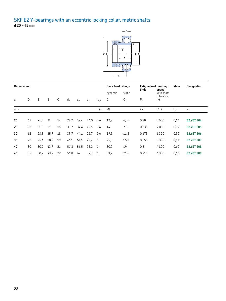### SKF E2 Y-bearings with an eccentric locking collar, metric shafts **d 20 – 45 mm**



|    | <b>Dimensions</b> |      |       |    |       |       |                |                                             | <b>Basic load ratings</b> |        | <b>Fatique load Limiting</b><br>limit<br>speed |                         | Mass | Designation       |
|----|-------------------|------|-------|----|-------|-------|----------------|---------------------------------------------|---------------------------|--------|------------------------------------------------|-------------------------|------|-------------------|
|    |                   |      |       |    |       |       |                |                                             | dynamic                   | static |                                                | with shaft<br>tolerance |      |                   |
| d  | D                 | B    | $B_1$ | C  | $d_1$ | $d_2$ | S <sub>1</sub> | $P_u$<br>$\mathbb{C}$<br>$C_0$<br>$r_{1,2}$ |                           |        |                                                | h <sub>6</sub>          |      |                   |
| mm |                   |      |       |    |       |       |                | min                                         | kN                        |        | kN                                             | r/min                   | kg   |                   |
|    |                   |      |       |    |       |       |                |                                             |                           |        |                                                |                         |      |                   |
| 20 | 47                | 21,5 | 31    | 14 | 28,2  | 32,4  | 24,0           | 0,6                                         | 12,7                      | 6,55   | 0,28                                           | 8500                    | 0,16 | <b>E2.YET 204</b> |
| 25 | 52                | 21,5 | 31    | 15 | 33,7  | 37,4  | 23,5           | 0.6                                         | 14                        | 7,8    | 0,335                                          | 7000                    | 0,19 | <b>E2.YET 205</b> |
| 30 | 62                | 23,8 | 35,7  | 18 | 39,7  | 44,1  | 26,7           | 0,6                                         | 19,5                      | 11,2   | 0,475                                          | 6300                    | 0,30 | <b>E2.YET 206</b> |
| 35 | 72                | 25,4 | 38,9  | 19 | 46,1  | 51,1  | 29,4           | $\mathbf{1}$                                | 25,5                      | 15,3   | 0,655                                          | 5 3 0 0                 | 0,44 | <b>E2.YET 207</b> |
| 40 | 80                | 30,2 | 43,7  | 21 | 51,8  | 56,5  | 33,2           | $\mathbf{1}$                                | 30,7                      | 19     | 0,8                                            | 4800                    | 0,60 | <b>E2.YET 208</b> |
| 45 | 85                | 30,2 | 43,7  | 22 | 56,8  | 62    | 32,7           | 1                                           | 33,2                      | 21,6   | 0,915                                          | 4300                    | 0,66 | <b>E2.YET 209</b> |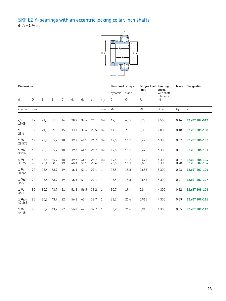#### SKF E2 Y-bearings with an eccentric locking collar, inch shafts **d** 3/4 **– 1** 3/4 **in.**



|                              | <b>Dimensions</b> |              |              |          |              |              |              |             | <b>Basic load ratings</b> |              | <b>Fatigue load</b><br>limit | Limiting<br>speed       | Mass         | <b>Designation</b>               |
|------------------------------|-------------------|--------------|--------------|----------|--------------|--------------|--------------|-------------|---------------------------|--------------|------------------------------|-------------------------|--------------|----------------------------------|
|                              |                   |              |              |          |              |              |              |             | dynamic                   | static       |                              | with shaft<br>tolerance |              |                                  |
| d                            | D                 | B            | $B_1$        | С        | $d_1$        | $d_2$        | $S_1$        | $r_{1,2}$   | С                         | $C_0$        | $P_{u}$                      | h <sub>6</sub>          |              |                                  |
| in./mm                       | mm                |              |              |          |              |              |              | min         | kN                        |              | kN                           | r/min                   | kg           | $\overline{\phantom{0}}$         |
| 3/4<br>19,05                 | 47                | 21,5         | 31           | 14       | 28,2         | 32,4         | 24           | 0,6         | 12,7                      | 6,55         | 0,28                         | 8500                    | 0,16         | E2.YET 204-012                   |
| $\mathbf{1}$<br>25,4         | 52                | 21,5         | 31           | 15       | 33,7         | 37,4         | 23,5         | 0,6         | 14                        | 7,8          | 0,335                        | 7000                    | 0,18         | E2.YET 205-100                   |
| $1^{1/8}$<br>28,575          | 62                | 23,8         | 35,7         | 18       | 39,7         | 44,1         | 26,7         | 0,6         | 19,5                      | 11,2         | 0,475                        | 6300                    | 0,32         | E2.YET 206-102                   |
| 1 <sup>3</sup> /16<br>30,163 | 62                | 23,8         | 35,7         | 18       | 39,7         | 44,1         | 26,7         | 0,6         | 19,5                      | 11,2         | 0,475                        | 6 3 0 0                 | 0,3          | E2.YET 206-103                   |
| $1^{1/4}$<br>31,75           | 62<br>72          | 23,8<br>25,4 | 35,7<br>38,9 | 18<br>19 | 39,7<br>46,1 | 44,1<br>51,1 | 26,7<br>29.4 | 0,6<br>1    | 19,5<br>25,5              | 11,2<br>15,3 | 0,475<br>0.655               | 6 3 0 0<br>5 3 0 0      | 0,27<br>0,48 | E2.YET 206-104<br>E2.YET 207-104 |
| $1^{3}/8$<br>34,925          | 72                | 25,4         | 38,9         | 19       | 46,1         | 51,1         | 29,4         | $\mathbf 1$ | 25,5                      | 15,3         | 0,655                        | 5 3 0 0                 | 0,43         | E2.YET 207-106                   |
| $1^{7}/16$<br>36,513         | 72                | 25,4         | 38,9         | 19       | 46,1         | 51,1         | 29,4         | $\mathbf 1$ | 25,5                      | 15,3         | 0,655                        | 5 3 0 0                 | 0,4          | E2.YET 207-107                   |
| $1^{1/2}$<br>38,1            | 80                | 30,2         | 43,7         | 21       | 51,8         | 56,5         | 33,2         | $\mathbf 1$ | 30,7                      | 19           | 0,8                          | 4800                    | 0,62         | E2.YET 208-108                   |
| $1^{11/16}$<br>42,863        | 85                | 30,2         | 43,7         | 22       | 56,8         | 62           | 32.7         | $\mathbf 1$ | 33,2                      | 21,6         | 0,915                        | 4300                    | 0,69         | E2.YET 209-111                   |
| $1^{3/4}$<br>44,45           | 85                | 30,2         | 43,7         | 22       | 56,8         | 62           | 32,7         | 1           | 33,2                      | 21,6         | 0,915                        | 4 3 0 0                 | 0,65         | E2.YET 209-112                   |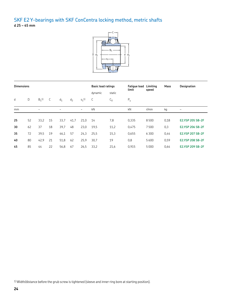## SKF E2 Y-bearings with SKF ConCentra locking method, metric shafts **d 25 – 45 mm**



|    | <b>Dimensions</b> |                     |    |                       |                |                       | <b>Basic load ratings</b> |        | <b>Fatique load</b><br>limit | Limiting<br>speed | Mass | <b>Designation</b>       |
|----|-------------------|---------------------|----|-----------------------|----------------|-----------------------|---------------------------|--------|------------------------------|-------------------|------|--------------------------|
|    |                   |                     |    |                       |                |                       | dynamic                   | static |                              |                   |      |                          |
| d  | D                 | $B_1$ <sup>1)</sup> | С  | $d_1$                 | d <sub>2</sub> | $s_1$ 1)              | C                         | $C_0$  | $P_u$                        |                   |      |                          |
| mm |                   | $\tilde{}$          |    | $\tilde{\phantom{a}}$ |                | $\tilde{\phantom{a}}$ | kN                        |        | kN                           | r/min             | kg   | $\overline{\phantom{m}}$ |
|    |                   |                     |    |                       |                |                       |                           |        |                              |                   |      |                          |
| 25 | 52                | 33,2                | 15 | 33,7                  | 41,7           | 21,0                  | 14                        | 7,8    | 0.335                        | 8500              | 0,18 | E2.YSP 205 SB-2F         |
| 30 | 62                | 37                  | 18 | 39,7                  | 48             | 23,0                  | 19,5                      | 11,2   | 0,475                        | 7500              | 0,3  | E2.YSP 206 SB-2F         |
| 35 | 72                | 39,5                | 19 | 46,1                  | 57             | 24,3                  | 25,5                      | 15,3   | 0,655                        | 6300              | 0,44 | <b>E2.YSP 207 SB-2F</b>  |
| 40 | 80                | 42,9                | 21 | 51,8                  | 62             | 25,9                  | 30,7                      | 19     | 0,8                          | 5600              | 0,59 | <b>E2.YSP 208 SB-2F</b>  |
| 45 | 85                | 44                  | 22 | 56,8                  | 67             | 26,5                  | 33,2                      | 21,6   | 0,915                        | 5 0 0 0           | 0,64 | E2.YSP 209 SB-2F         |

1) Width/distance before the grub screw is tightened (sleeve and inner ring bore at starting position).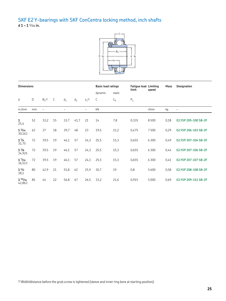## SKF E2 Y-bearings with SKF ConCentra locking method, inch shafts **d 1 – 1** 1/16 **in.**



|                           | <b>Dimensions</b> |                     |    |                       |                |            | <b>Basic load ratings</b><br>limit |        | <b>Fatique load Limiting</b> | speed   | Mass | <b>Designation</b>   |
|---------------------------|-------------------|---------------------|----|-----------------------|----------------|------------|------------------------------------|--------|------------------------------|---------|------|----------------------|
|                           |                   |                     |    |                       |                |            | dynamic                            | static |                              |         |      |                      |
| d                         | D                 | $B_1$ <sup>1)</sup> | С  | $d_1$                 | d <sub>2</sub> | $s_1$ 1)   | С                                  | $C_0$  | $P_{u}$                      |         |      |                      |
| in./mm                    | mm                | $\tilde{}$          |    | $\tilde{\phantom{a}}$ |                | $\tilde{}$ | kN                                 |        |                              | r/min   | kg   | $\qquad \qquad -$    |
| 1<br>25,4                 | 52                | 33,2                | 15 | 33,7                  | 41,7           | 21         | 14                                 | 7,8    | 0,335                        | 8500    | 0,18 | E2.YSP 205-100 SB-2F |
| $1^{3/16}$<br>30,163      | 62                | 37                  | 18 | 39,7                  | 48             | 23         | 19,5                               | 11,2   | 0,475                        | 7500    | 0,29 | E2.YSP 206-103 SB-2F |
| $1^{1/4}$<br>31,75        | 72                | 39,5                | 19 | 46,1                  | 57             | 24,3       | 25,5                               | 15,3   | 0,655                        | 6 3 0 0 | 0,49 | E2.YSP 207-104 SB-2F |
| $1^{3}/8$<br>34,925       | 72                | 39,5                | 19 | 46,1                  | 57             | 24,3       | 25,5                               | 15,3   | 0,655                        | 6 3 0 0 | 0.44 | E2.YSP 207-106 SB-2F |
| 17/16<br>36,513           | 72                | 39,5                | 19 | 46,1                  | 57             | 24,3       | 25,5                               | 15,3   | 0,655                        | 6 3 0 0 | 0,41 | E2.YSP 207-107 SB-2F |
| 1 <sup>1</sup> /2<br>38,1 | 80                | 42,9                | 21 | 51,8                  | 62             | 25,9       | 30,7                               | 19     | 0,8                          | 5600    | 0,58 | E2.YSP 208-108 SB-2F |
| $1^{11/16}$<br>42,863     | 85                | 44                  | 22 | 56,8                  | 67             | 26,5       | 33,2                               | 21,6   | 0,915                        | 5 0 0 0 | 0,69 | E2.YSP 209-111 SB-2F |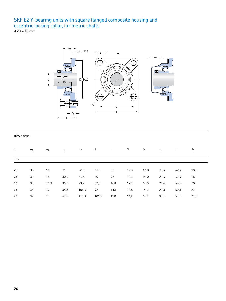## SKF E2 Y-bearing units with square flanged composite housing and eccentric locking collar, for metric shafts

**d 20 – 40 mm**



#### **Dimensions**

| d  | $A_1$ | A <sub>2</sub> | $B_1$ | Da    | J     |     | N    | G   | S <sub>1</sub> |      | A <sub>5</sub> |
|----|-------|----------------|-------|-------|-------|-----|------|-----|----------------|------|----------------|
| mm |       |                |       |       |       |     |      |     |                |      |                |
|    |       |                |       |       |       |     |      |     |                |      |                |
| 20 | 30    | 15             | 31    | 68,3  | 63.5  | 86  | 12,3 | M10 | 23,9           | 42,9 | 18,5           |
| 25 | 31    | 15             | 30,9  | 74,6  | 70    | 95  | 12,3 | M10 | 23,4           | 42,4 | 18             |
| 30 | 33    | 15,3           | 35,6  | 93,7  | 82,5  | 108 | 12,3 | M10 | 26,6           | 46,6 | 20             |
| 35 | 35    | 17             | 38,8  | 106,4 | 92    | 118 | 14,8 | M12 | 29,3           | 50,3 | 22             |
| 40 | 39    | 17             | 43,6  | 115,9 | 101,5 | 130 | 14,8 | M12 | 33,1           | 57,1 | 23,5           |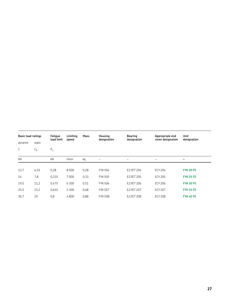| <b>Basic load ratings</b> |        | Fatique<br>load limit | Limiting<br>speed | Mass | Housing<br>designation | Bearing<br>designation | Appropriate end<br>cover designation | <b>Unit</b><br>designation |
|---------------------------|--------|-----------------------|-------------------|------|------------------------|------------------------|--------------------------------------|----------------------------|
| dynamic                   | static |                       |                   |      |                        |                        |                                      |                            |
| C                         | $C_0$  | $P_u$                 |                   |      |                        |                        |                                      |                            |
| kN                        |        | kN                    | r/min             | kg   | $\qquad \qquad -$      | $\qquad \qquad -$      | -                                    | $\overline{\phantom{m}}$   |
|                           |        |                       |                   |      |                        |                        |                                      |                            |
| 12,7                      | 6,55   | 0,28                  | 8500              | 0,28 | <b>FYK 504</b>         | E2.YET 204             | <b>ECY 204</b>                       | <b>FYK 20 FE</b>           |
| 14                        | 7,8    | 0,335                 | 7000              | 0,33 | <b>FYK 505</b>         | E2.YET 205             | <b>ECY 205</b>                       | <b>FYK 25 FE</b>           |
| 19,5                      | 11,2   | 0,475                 | 6300              | 0,51 | <b>FYK 506</b>         | E2.YET 206             | <b>ECY 206</b>                       | <b>FYK 30 FE</b>           |
| 25,5                      | 15,3   | 0.655                 | 5 3 0 0           | 0,68 | <b>FYK 507</b>         | E2.YET 207             | <b>ECY 207</b>                       | <b>FYK 35 FE</b>           |
| 30.7                      | 19     | 0,8                   | 4800              | 0,88 | <b>FYK 508</b>         | <b>E2.YET 208</b>      | <b>ECY 208</b>                       | <b>FYK 40 FE</b>           |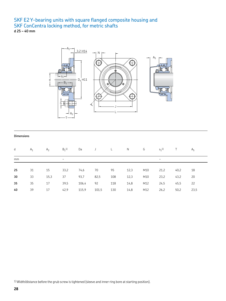## SKF E2 Y-bearing units with square flanged composite housing and SKF ConCentra locking method, for metric shafts

**d 25 – 40 mm**



#### **Dimensions**

| d  | $A_1$ | A <sub>2</sub> | $B_1$ <sup>1)</sup>   | Da    | J     |     | N    | G   | $s_1$ <sup>1</sup>    |      | A <sub>5</sub> |
|----|-------|----------------|-----------------------|-------|-------|-----|------|-----|-----------------------|------|----------------|
| mm |       |                | $\tilde{\phantom{a}}$ |       |       |     |      |     | $\tilde{\phantom{a}}$ |      |                |
|    |       |                |                       |       |       |     |      |     |                       |      |                |
| 25 | 31    | 15             | 33,2                  | 74,6  | 70    | 95  | 12,3 | M10 | 21,2                  | 40,2 | 18             |
| 30 | 33    | 15,3           | 37                    | 93,7  | 82,5  | 108 | 12,3 | M10 | 23,2                  | 43,2 | 20             |
| 35 | 35    | 17             | 39,5                  | 106,4 | 92    | 118 | 14,8 | M12 | 24,5                  | 45,5 | 22             |
| 40 | 39    | 17             | 42,9                  | 115,9 | 101,5 | 130 | 14,8 | M12 | 26,2                  | 50,2 | 23,5           |

1) Width/distance before the grub screw is tightened (sleeve and inner ring bore at starting position).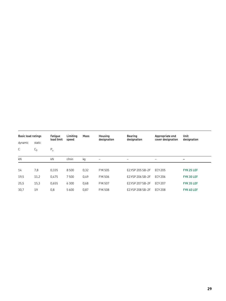| <b>Basic load ratings</b> |                | Fatigue<br>load limit | Limitina<br>speed | Mass | <b>Housing</b><br>designation | Bearing<br>designation | Appropriate end<br>cover designation | Unit<br>designation |
|---------------------------|----------------|-----------------------|-------------------|------|-------------------------------|------------------------|--------------------------------------|---------------------|
| dynamic                   | static         |                       |                   |      |                               |                        |                                      |                     |
| C                         | L <sub>0</sub> | $P_u$                 |                   |      |                               |                        |                                      |                     |
| kN                        |                | kN                    | r/min             | kg   |                               |                        | $\qquad \qquad$                      |                     |
|                           |                |                       |                   |      |                               |                        |                                      |                     |
| 14                        | 7,8            | 0,335                 | 8500              | 0,32 | <b>FYK 505</b>                | E2.YSP 205 SB-2F       | <b>ECY 205</b>                       | FYK 25 LEF          |
| 19,5                      | 11,2           | 0.475                 | 7500              | 0,49 | <b>FYK 506</b>                | E2.YSP 206 SB-2F       | ECY 206                              | FYK 30 LEF          |
| 25,5                      | 15,3           | 0.655                 | 6300              | 0,68 | <b>FYK 507</b>                | E2.YSP 207 SB-2F       | <b>ECY 207</b>                       | FYK 35 LEF          |
| 30.7                      | 19             | 0,8                   | 5600              | 0,87 | <b>FYK 508</b>                | E2.YSP 208 SB-2F       | ECY 208                              | FYK 40 LEF          |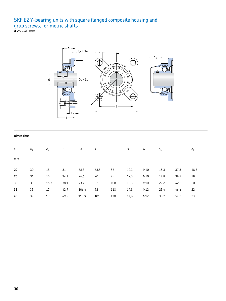## SKF E2 Y-bearing units with square flanged composite housing and grub screws, for metric shafts

**d 25 – 40 mm**



#### **Dimensions**

| d  | $A_1$ | A <sub>2</sub> | B    | Da    |       |     | $\mathsf{N}$ | G   | S <sub>1</sub> |      | A <sub>5</sub> |
|----|-------|----------------|------|-------|-------|-----|--------------|-----|----------------|------|----------------|
| mm |       |                |      |       |       |     |              |     |                |      |                |
|    |       |                |      |       |       |     |              |     |                |      |                |
| 20 | 30    | 15             | 31   | 68,3  | 63,5  | 86  | 12,3         | M10 | 18,3           | 37,3 | 18,5           |
| 25 | 31    | 15             | 34,1 | 74,6  | 70    | 95  | 12,3         | M10 | 19,8           | 38,8 | 18             |
| 30 | 33    | 15,3           | 38,1 | 93,7  | 82,5  | 108 | 12,3         | M10 | 22,2           | 42,2 | 20             |
| 35 | 35    | 17             | 42,9 | 106,4 | 92    | 118 | 14,8         | M12 | 25,4           | 46,4 | 22             |
| 40 | 39    | 17             | 49,2 | 115,9 | 101,5 | 130 | 14,8         | M12 | 30,2           | 54,2 | 23,5           |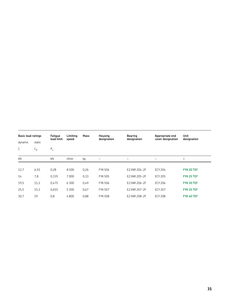| <b>Basic load ratings</b> |        | Fatique<br>load limit | Limitina<br>speed | Mass | Housing<br>designation | Bearing<br>designation | Appropriate end<br>cover designation | <b>Unit</b><br>designation |
|---------------------------|--------|-----------------------|-------------------|------|------------------------|------------------------|--------------------------------------|----------------------------|
| dynamic                   | static |                       |                   |      |                        |                        |                                      |                            |
| C                         | $C_0$  | $P_u$                 |                   |      |                        |                        |                                      |                            |
| kN                        |        | kN                    | r/min             | kg   |                        | -                      | -                                    | -                          |
|                           |        |                       |                   |      |                        |                        |                                      |                            |
| 12,7                      | 6,55   | 0,28                  | 8500              | 0,26 | <b>FYK 504</b>         | E2.YAR 204-2F          | <b>ECY 204</b>                       | FYK 20 TEF                 |
| 14                        | 7,8    | 0,335                 | 7000              | 0,33 | <b>FYK 505</b>         | E2.YAR 205-2F          | <b>ECY 205</b>                       | FYK 25 TEF                 |
| 19,5                      | 11,2   | 0,475                 | 6300              | 0,49 | <b>FYK 506</b>         | E2.YAR 206-2F          | <b>ECY 206</b>                       | FYK 30 TEF                 |
| 25,5                      | 15,3   | 0,655                 | 5300              | 0,67 | <b>FYK 507</b>         | E2.YAR 207-2F          | <b>ECY 207</b>                       | FYK 35 TEF                 |
| 30,7                      | 19     | 0,8                   | 4800              | 0,88 | <b>FYK 508</b>         | E2.YAR 208-2F          | <b>ECY 208</b>                       | FYK 40 TEF                 |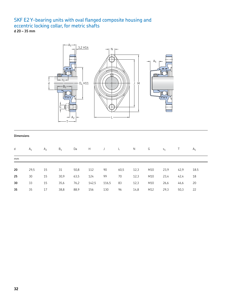#### SKF E2 Y-bearing units with oval flanged composite housing and eccentric locking collar, for metric shafts **d 20 – 35 mm**



#### **Dimensions**

| d  | $A_1$ | A <sub>2</sub> | $B_1$ | Da   | H     | J     | $\mathsf{L}$ | N    | G   | S <sub>1</sub> |      | A <sub>5</sub> |
|----|-------|----------------|-------|------|-------|-------|--------------|------|-----|----------------|------|----------------|
| mm |       |                |       |      |       |       |              |      |     |                |      |                |
|    |       |                |       |      |       |       |              |      |     |                |      |                |
| 20 | 29,5  | 15             | 31    | 50,8 | 112   | 90    | 60,5         | 12,3 | M10 | 23,9           | 42,9 | 18.5           |
| 25 | 30    | 15             | 30,9  | 63,5 | 124   | 99    | 70           | 12,3 | M10 | 23,4           | 42,4 | 18             |
| 30 | 33    | 15             | 35,6  | 76,2 | 142,5 | 116,5 | 83           | 12,3 | M10 | 26,6           | 46,6 | 20             |
| 35 | 35    | 17             | 38,8  | 88,9 | 156   | 130   | 96           | 14,8 | M12 | 29,3           | 50,3 | 22             |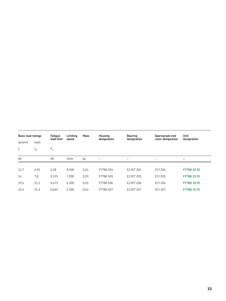| <b>Basic load ratings</b> |        | Fatique<br>load limit | Limitina<br>speed | Mass | <b>Housing</b><br>designation | Bearing<br>designation | Appropriate end<br>cover designation | Unit<br>designation |
|---------------------------|--------|-----------------------|-------------------|------|-------------------------------|------------------------|--------------------------------------|---------------------|
| dynamic                   | static |                       |                   |      |                               |                        |                                      |                     |
| C                         | $C_0$  | $P_u$                 |                   |      |                               |                        |                                      |                     |
| kN                        |        | kN                    | r/min             | kg   |                               | -                      | -                                    | $\qquad \qquad$     |
|                           |        |                       |                   |      |                               |                        |                                      |                     |
| 12,7                      | 6,55   | 0,28                  | 8500              | 0.24 | FYTBK 504                     | E2.YET 204             | <b>ECY 204</b>                       | <b>FYTBK 20 FE</b>  |
| 14                        | 7,8    | 0.335                 | 7000              | 0,29 | FYTBK 505                     | E2.YET 205             | <b>ECY 205</b>                       | <b>FYTBK 25 FE</b>  |
| 19,5                      | 11,2   | 0.475                 | 6300              | 0,45 | FYTBK 506                     | E2.YET 206             | <b>ECY 206</b>                       | <b>FYTBK 30 FE</b>  |
| 25,5                      | 15,3   | 0.655                 | 5300              | 0,63 | FYTBK 507                     | E2.YET 207             | <b>ECY 207</b>                       | <b>FYTBK35FE</b>    |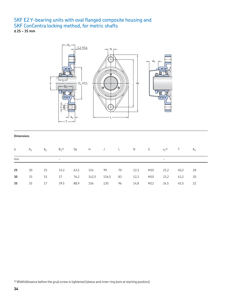#### SKF E2 Y-bearing units with oval flanged composite housing and SKF ConCentra locking method, for metric shafts **d 25 – 35 mm**



#### **Dimensions**

| d  | $A_1$ | $A_2$ | $B_1$ <sup>1</sup>    |      |        | Da HJ L N G |      |      |     | $S_1$ <sup>1</sup>    | $\top$ | A <sub>5</sub> |
|----|-------|-------|-----------------------|------|--------|-------------|------|------|-----|-----------------------|--------|----------------|
| mm |       |       | $\tilde{\phantom{a}}$ |      |        |             |      |      |     | $\tilde{\phantom{a}}$ |        |                |
| 25 | 30    | 15    | 33.2                  | 63,5 | 124 99 |             | 70   | 12,3 | M10 | 21,2                  | 40,2   | 18             |
| 30 | 33    | 15    | 37                    | 76,2 | 142,5  | 116,5       | - 83 | 12,3 | M10 | 23,2                  | 43,2   | 20             |
| 35 | 35    | 17    | 39.5                  | 88,9 | 156    | 130         | 96   | 14,8 | M12 | 24,5                  | 45,5   | -22            |

1) Width/distance before the grub screw is tightened (sleeve and inner ring bore at starting position).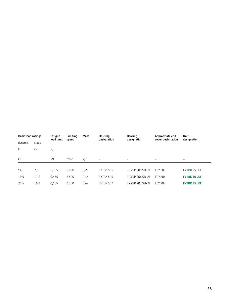| <b>Basic load ratings</b> |                | Fatigue<br>load limit | Limiting<br>speed | Mass | Housing<br>designation   | Bearing<br>designation   | Appropriate end<br>cover designation | Unit<br>designation      |
|---------------------------|----------------|-----------------------|-------------------|------|--------------------------|--------------------------|--------------------------------------|--------------------------|
| dynamic                   | static         |                       |                   |      |                          |                          |                                      |                          |
| C                         | L <sub>0</sub> | $P_u$                 |                   |      |                          |                          |                                      |                          |
| kN                        |                | kN                    | r/min             | kg   | $\overline{\phantom{m}}$ | $\overline{\phantom{m}}$ | $\qquad \qquad -$                    | $\overline{\phantom{0}}$ |
|                           |                |                       |                   |      |                          |                          |                                      |                          |
| 14                        | 7,8            | 0.335                 | 8500              | 0,28 | FYTBK 505                | E2.YSP 205 SB-2F         | <b>FCY 205</b>                       | <b>FYTBK 25 LEF</b>      |
| 19,5                      | 11,2           | 0.475                 | 7500              | 0,44 | FYTBK 506                | E2.YSP 206 SB-2F         | ECY 206                              | <b>FYTBK 30 LEF</b>      |
| 25,5                      | 15,3           | 0.655                 | 6300              | 0,62 | FYTBK 507                | E2.YSP 207 SB-2F         | <b>ECY 207</b>                       | <b>FYTBK 35 LEF</b>      |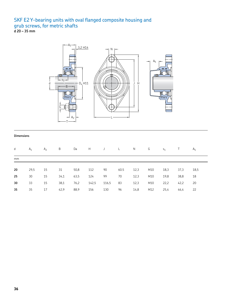## SKF E2 Y-bearing units with oval flanged composite housing and grub screws, for metric shafts

**d 20 – 35 mm**



#### **Dimensions**

| d  | $A_1$ | A <sub>2</sub> | B    | Da   | H<br>$\overline{\phantom{a}}$ |       | $\mathsf{L}$ | N    | G   | S <sub>1</sub> |      | A <sub>5</sub> |
|----|-------|----------------|------|------|-------------------------------|-------|--------------|------|-----|----------------|------|----------------|
| mm |       |                |      |      |                               |       |              |      |     |                |      |                |
| 20 | 29,5  | 15             | 31   | 50,8 | 112                           | 90    | 60.5         | 12,3 | M10 | 18,3           | 37,3 | 18,5           |
| 25 | 30    | 15             | 34,1 | 63,5 | 124                           | 99    | 70           | 12,3 | M10 | 19,8           | 38,8 | 18             |
| 30 | 33    | 15             | 38,1 | 76,2 | 142,5                         | 116,5 | 83           | 12,3 | M10 | 22,2           | 42,2 | 20             |
| 35 | 35    | 17             | 42,9 | 88,9 | 156                           | 130   | 96           | 14,8 | M12 | 25,4           | 46,4 | 22             |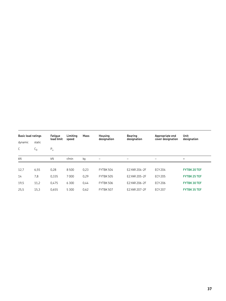|         | <b>Basic load ratings</b> |            | Limiting<br>speed | Mass | Housing<br>designation | Bearing<br>designation | Appropriate end<br>cover designation | Unit<br>designation |
|---------|---------------------------|------------|-------------------|------|------------------------|------------------------|--------------------------------------|---------------------|
| dynamic | static                    | load limit |                   |      |                        |                        |                                      |                     |
| C       | $C_0$                     | $P_u$      |                   |      |                        |                        |                                      |                     |
| kN      |                           | kN         | r/min             | kg   |                        | -                      | -                                    | $\qquad \qquad$     |
|         |                           |            |                   |      |                        |                        |                                      |                     |
| 12,7    | 6,55                      | 0,28       | 8500              | 0,23 | FYTBK 504              | E2.YAR 204-2F          | <b>ECY 204</b>                       | <b>FYTBK 20 TEF</b> |
| 14      | 7,8                       | 0.335      | 7000              | 0,29 | FYTBK 505              | E2.YAR 205-2F          | <b>ECY 205</b>                       | <b>FYTBK 25 TEF</b> |
| 19,5    | 11,2                      | 0.475      | 6300              | 0,44 | <b>FYTBK 506</b>       | E2.YAR 206-2F          | ECY 206                              | <b>FYTBK 30 TEF</b> |
| 25,5    | 15,3                      | 0.655      | 5 3 0 0           | 0,62 | FYTBK 507              | E2.YAR 207-2F          | <b>ECY 207</b>                       | <b>FYTBK 35 TEF</b> |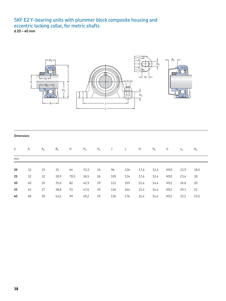## SKF E2 Y-bearing units with plummer block composite housing and eccentric locking collar, for metric shafts

**d 20 – 40 mm**



#### **Dimensions**

| d  | Α  | $A_1$ | $B_1$ | H    | $H_1$ | H <sub>2</sub> | J   | L.  | N    | $N_1$ | G   | $S_1$ | A <sub>5</sub> |
|----|----|-------|-------|------|-------|----------------|-----|-----|------|-------|-----|-------|----------------|
| mm |    |       |       |      |       |                |     |     |      |       |     |       |                |
|    |    |       |       |      |       |                |     |     |      |       |     |       |                |
| 20 | 32 | 21    | 31    | 64   | 33,3  | 16             | 96  | 126 | 17,6 | 12,4  | M10 | 23,9  | 18,5           |
| 25 | 32 | 22    | 30,9  | 70,5 | 36,5  | 16             | 105 | 134 | 17,6 | 12,4  | M10 | 23,4  | 18             |
| 30 | 40 | 25    | 35,6  | 82   | 42,9  | 19             | 121 | 159 | 21,4 | 14,4  | M12 | 26,6  | 20             |
| 35 | 45 | 27    | 38,8  | 93   | 47,6  | 19             | 126 | 164 | 21,4 | 14,4  | M12 | 29,3  | 22             |
| 40 | 48 | 30    | 43,6  | 99   | 49,2  | 19             | 136 | 176 | 21,4 | 14,4  | M12 | 33,1  | 23,5           |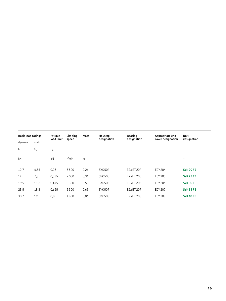| <b>Basic load ratings</b> |        | Fatique<br>load limit | Limiting<br>speed | Mass | Housing<br>designation | <b>Bearing</b><br>designation | Appropriate end<br>cover designation | <b>Unit</b><br>designation |
|---------------------------|--------|-----------------------|-------------------|------|------------------------|-------------------------------|--------------------------------------|----------------------------|
| dynamic                   | static |                       |                   |      |                        |                               |                                      |                            |
| C                         | $C_0$  | $P_u$                 |                   |      |                        |                               |                                      |                            |
| kN                        |        | kN                    | r/min             | kg   |                        | -                             | $\qquad \qquad -$                    |                            |
|                           |        |                       |                   |      |                        |                               |                                      |                            |
| 12,7                      | 6,55   | 0,28                  | 8500              | 0,26 | <b>SYK 504</b>         | E2.YET 204                    | <b>ECY 204</b>                       | <b>SYK 20 FE</b>           |
| 14                        | 7,8    | 0,335                 | 7000              | 0,31 | <b>SYK 505</b>         | <b>E2.YET 205</b>             | <b>ECY 205</b>                       | <b>SYK 25 FE</b>           |
| 19,5                      | 11,2   | 0,475                 | 6 3 0 0           | 0,50 | <b>SYK 506</b>         | E2.YET 206                    | <b>ECY 206</b>                       | <b>SYK 30 FE</b>           |
| 25,5                      | 15,3   | 0,655                 | 5 3 0 0           | 0,69 | <b>SYK 507</b>         | <b>E2.YET 207</b>             | <b>ECY 207</b>                       | <b>SYK 35 FE</b>           |
| 30,7                      | 19     | 0,8                   | 4800              | 0,86 | <b>SYK 508</b>         | <b>E2.YET 208</b>             | <b>ECY 208</b>                       | <b>SYK 40 FE</b>           |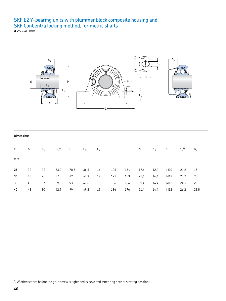#### SKF E2 Y-bearing units with plummer block composite housing and SKF ConCentra locking method, for metric shafts **d 25 – 40 mm**



#### **Dimensions**

| d  | A  | $A_1$ | $B_1$ <sup>1)</sup>       | H    | $H_1$ | $H_2$ J L |     |     | N    | $N_1$ | G   | $S_1$ <sup>1)</sup>   | A <sub>5</sub> |
|----|----|-------|---------------------------|------|-------|-----------|-----|-----|------|-------|-----|-----------------------|----------------|
| mm |    |       | $\widetilde{\phantom{m}}$ |      |       |           |     |     |      |       |     | $\tilde{\phantom{a}}$ |                |
|    |    |       |                           |      |       |           |     |     |      |       |     |                       |                |
| 25 | 32 | 22    | 33,2                      | 70,5 | 36,5  | 16        | 105 | 134 | 17,6 | 12,4  | M10 | 21,2                  | 18             |
| 30 | 40 | 25    | 37                        | 82   | 42,9  | 19        | 121 | 159 | 21,4 | 14,4  | M12 | 23,2                  | 20             |
| 35 | 45 | 27    | 39,5                      | 93   | 47,6  | 19        | 126 | 164 | 21,4 | 14,4  | M12 | 24,5                  | -22            |
| 40 | 48 | 30    | 42,9                      | 99   | 49,2  | 19        | 136 | 176 | 21,4 | 14,4  | M12 | 26,2                  | 23,5           |

1) Width/distance before the grub screw is tightened (sleeve and inner ring bore at starting position).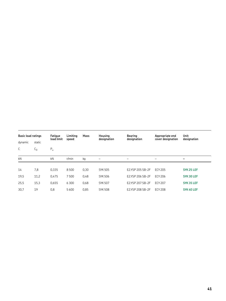| <b>Basic load ratings</b> |                | Fatique<br>load limit | Limitina<br>speed | Mass | Housing<br>Bearing<br>designation<br>designation |                   | Appropriate end<br>cover designation | Unit<br>designation |
|---------------------------|----------------|-----------------------|-------------------|------|--------------------------------------------------|-------------------|--------------------------------------|---------------------|
| dynamic                   | static         |                       |                   |      |                                                  |                   |                                      |                     |
| C                         | L <sub>0</sub> | $P_u$                 |                   |      |                                                  |                   |                                      |                     |
| kN                        |                | kN                    | r/min             | kg   | $\qquad \qquad$                                  | $\qquad \qquad -$ | -                                    | $\qquad \qquad$     |
|                           |                |                       |                   |      |                                                  |                   |                                      |                     |
| 14                        | 7,8            | 0.335                 | 8500              | 0,30 | <b>SYK 505</b>                                   | E2.YSP 205 SB-2F  | <b>ECY 205</b>                       | SYK 25 LEF          |
| 19,5                      | 11,2           | 0.475                 | 7500              | 0,48 | <b>SYK 506</b>                                   | E2.YSP 206 SB-2F  | ECY 206                              | SYK 30 LEF          |
| 25,5                      | 15,3           | 0.655                 | 6 3 0 0           | 0,68 | <b>SYK 507</b>                                   | E2.YSP 207 SB-2F  | <b>ECY 207</b>                       | SYK 35 LEF          |
| 30,7                      | 19             | 0,8                   | 5600              | 0,85 | <b>SYK 508</b>                                   | E2.YSP 208 SB-2F  | <b>ECY 208</b>                       | SYK 40 LEF          |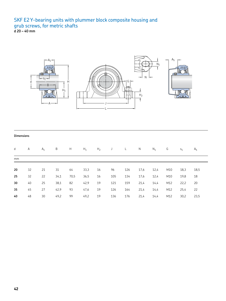## SKF E2 Y-bearing units with plummer block composite housing and grub screws, for metric shafts

**d 20 – 40 mm**



#### **Dimensions**

| d  | Α  | $A_1$ | B    | Н    | $H_1$ | H <sub>2</sub> | J   | L.  | N    | $N_1$ | G   | $S_1$ | A <sub>5</sub> |
|----|----|-------|------|------|-------|----------------|-----|-----|------|-------|-----|-------|----------------|
| mm |    |       |      |      |       |                |     |     |      |       |     |       |                |
|    |    |       |      |      |       |                |     |     |      |       |     |       |                |
| 20 | 32 | 21    | 31   | 64   | 33,3  | 16             | 96  | 126 | 17,6 | 12.4  | M10 | 18,3  | 18,5           |
| 25 | 32 | 22    | 34,1 | 70,5 | 36,5  | 16             | 105 | 134 | 17,6 | 12,4  | M10 | 19,8  | 18             |
| 30 | 40 | 25    | 38,1 | 82   | 42,9  | 19             | 121 | 159 | 21,4 | 14,4  | M12 | 22,2  | 20             |
| 35 | 45 | 27    | 42,9 | 93   | 47,6  | 19             | 126 | 164 | 21,4 | 14,4  | M12 | 25,4  | 22             |
| 40 | 48 | 30    | 49,2 | 99   | 49,2  | 19             | 136 | 176 | 21,4 | 14,4  | M12 | 30,2  | 23,5           |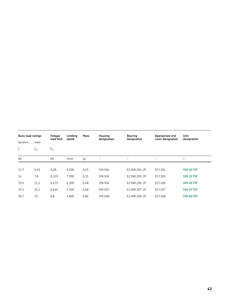| <b>Basic load ratings</b> |        | Fatique<br>load limit | Limitina<br>speed | Mass | Housing<br>designation | Bearing<br>designation | Appropriate end<br>cover designation | <b>Unit</b><br>designation |
|---------------------------|--------|-----------------------|-------------------|------|------------------------|------------------------|--------------------------------------|----------------------------|
| dynamic                   | static |                       |                   |      |                        |                        |                                      |                            |
| C                         | $C_0$  | $P_u$                 |                   |      |                        |                        |                                      |                            |
| kN                        |        | kN                    | r/min             | kg   |                        | -                      | -                                    | -                          |
|                           |        |                       |                   |      |                        |                        |                                      |                            |
| 12,7                      | 6,55   | 0,28                  | 8500              | 0,25 | <b>SYK 504</b>         | E2.YAR 204-2F          | <b>ECY 204</b>                       | SYK 20 TEF                 |
| 14                        | 7,8    | 0,335                 | 7000              | 0,31 | <b>SYK 505</b>         | E2.YAR 205-2F          | <b>ECY 205</b>                       | SYK 25 TEF                 |
| 19,5                      | 11,2   | 0,475                 | 6300              | 0,48 | <b>SYK 506</b>         | E2.YAR 206-2F          | <b>ECY 206</b>                       | SYK 30 TEF                 |
| 25,5                      | 15,3   | 0,655                 | 5300              | 0,68 | <b>SYK 507</b>         | E2.YAR 207-2F          | <b>ECY 207</b>                       | SYK 35 TEF                 |
| 30,7                      | 19     | 0,8                   | 4800              | 0,86 | <b>SYK 508</b>         | E2.YAR 208-2F          | <b>ECY 208</b>                       | SYK 40 TEF                 |